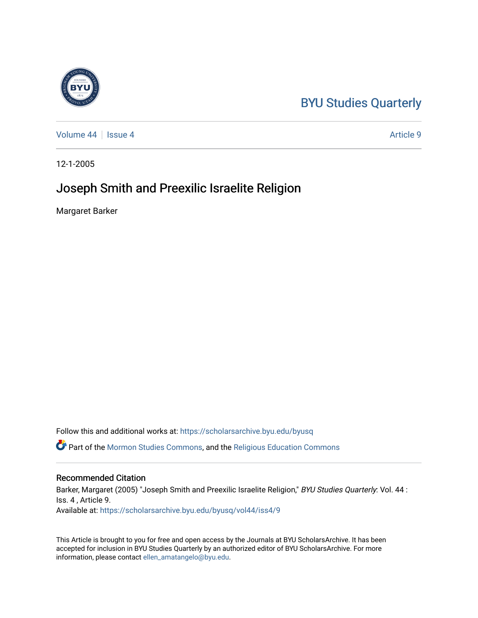## [BYU Studies Quarterly](https://scholarsarchive.byu.edu/byusq)

[Volume 44](https://scholarsarchive.byu.edu/byusq/vol44) | [Issue 4](https://scholarsarchive.byu.edu/byusq/vol44/iss4) Article 9

12-1-2005

# Joseph Smith and Preexilic Israelite Religion

Margaret Barker

Follow this and additional works at: [https://scholarsarchive.byu.edu/byusq](https://scholarsarchive.byu.edu/byusq?utm_source=scholarsarchive.byu.edu%2Fbyusq%2Fvol44%2Fiss4%2F9&utm_medium=PDF&utm_campaign=PDFCoverPages) 

Part of the [Mormon Studies Commons](http://network.bepress.com/hgg/discipline/1360?utm_source=scholarsarchive.byu.edu%2Fbyusq%2Fvol44%2Fiss4%2F9&utm_medium=PDF&utm_campaign=PDFCoverPages), and the [Religious Education Commons](http://network.bepress.com/hgg/discipline/1414?utm_source=scholarsarchive.byu.edu%2Fbyusq%2Fvol44%2Fiss4%2F9&utm_medium=PDF&utm_campaign=PDFCoverPages) 

## Recommended Citation

Barker, Margaret (2005) "Joseph Smith and Preexilic Israelite Religion," BYU Studies Quarterly: Vol. 44 : Iss. 4 , Article 9. Available at: [https://scholarsarchive.byu.edu/byusq/vol44/iss4/9](https://scholarsarchive.byu.edu/byusq/vol44/iss4/9?utm_source=scholarsarchive.byu.edu%2Fbyusq%2Fvol44%2Fiss4%2F9&utm_medium=PDF&utm_campaign=PDFCoverPages)

This Article is brought to you for free and open access by the Journals at BYU ScholarsArchive. It has been accepted for inclusion in BYU Studies Quarterly by an authorized editor of BYU ScholarsArchive. For more information, please contact [ellen\\_amatangelo@byu.edu.](mailto:ellen_amatangelo@byu.edu)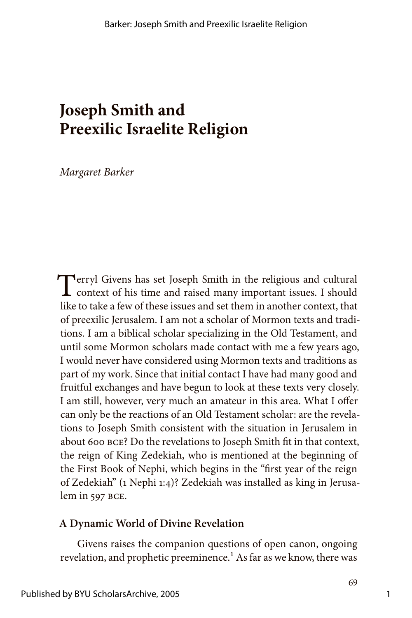## **Joseph Smith and Preexilic Israelite Religion**

*Margaret Barker*

Terryl Givens has set Joseph Smith in the religious and cultural context of his time and raised many important issues. I should like to take a few of these issues and set them in another context, that of preexilic Jerusalem. I am not a scholar of Mormon texts and traditions. I am a biblical scholar specializing in the Old Testament, and until some Mormon scholars made contact with me a few years ago, I would never have considered using Mormon texts and traditions as part of my work. Since that initial contact I have had many good and fruitful exchanges and have begun to look at these texts very closely. I am still, however, very much an amateur in this area. What I offer can only be the reactions of an Old Testament scholar: are the revelations to Joseph Smith consistent with the situation in Jerusalem in about 600 bce? Do the revelations to Joseph Smith fit in that context, the reign of King Zedekiah, who is mentioned at the beginning of the First Book of Nephi, which begins in the "first year of the reign of Zedekiah" (1 Nephi 1:4)? Zedekiah was installed as king in Jerusalem in 597 bce.

## **A Dynamic World of Divine Revelation**

 Givens raises the companion questions of open canon, ongoing revelation, and prophetic preeminence.<sup>1</sup> As far as we know, there was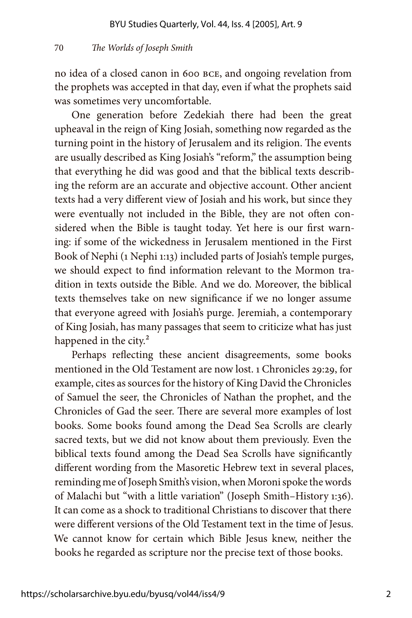no idea of a closed canon in 600 bce, and ongoing revelation from the prophets was accepted in that day, even if what the prophets said was sometimes very uncomfortable.

 One generation before Zedekiah there had been the great upheaval in the reign of King Josiah, something now regarded as the turning point in the history of Jerusalem and its religion. The events are usually described as King Josiah's "reform," the assumption being that everything he did was good and that the biblical texts describing the reform are an accurate and objective account. Other ancient texts had a very different view of Josiah and his work, but since they were eventually not included in the Bible, they are not often considered when the Bible is taught today. Yet here is our first warning: if some of the wickedness in Jerusalem mentioned in the First Book of Nephi (1 Nephi 1:13) included parts of Josiah's temple purges, we should expect to find information relevant to the Mormon tradition in texts outside the Bible. And we do. Moreover, the biblical texts themselves take on new significance if we no longer assume that everyone agreed with Josiah's purge. Jeremiah, a contemporary of King Josiah, has many passages that seem to criticize what has just happened in the city.<sup>2</sup>

 Perhaps reflecting these ancient disagreements, some books mentioned in the Old Testament are now lost. Chronicles 29:29, for example, cites as sources for the history of King David the Chronicles of Samuel the seer, the Chronicles of Nathan the prophet, and the Chronicles of Gad the seer. There are several more examples of lost books. Some books found among the Dead Sea Scrolls are clearly sacred texts, but we did not know about them previously. Even the biblical texts found among the Dead Sea Scrolls have significantly different wording from the Masoretic Hebrew text in several places, reminding me of Joseph Smith's vision, when Moroni spoke the words of Malachi but "with a little variation" (Joseph Smith–History :36). It can come as a shock to traditional Christians to discover that there were different versions of the Old Testament text in the time of Jesus. We cannot know for certain which Bible Jesus knew, neither the books he regarded as scripture nor the precise text of those books.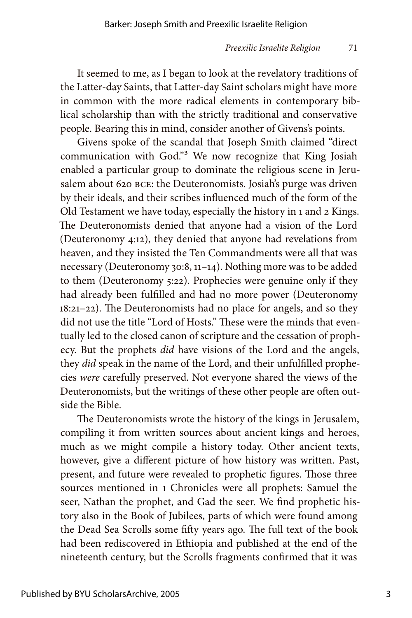It seemed to me, as I began to look at the revelatory traditions of the Latter-day Saints, that Latter-day Saint scholars might have more in common with the more radical elements in contemporary biblical scholarship than with the strictly traditional and conservative people. Bearing this in mind, consider another of Givens's points.

 Givens spoke of the scandal that Joseph Smith claimed "direct communication with God."<sup>3</sup> We now recognize that King Josiah enabled a particular group to dominate the religious scene in Jerusalem about 620 BCE: the Deuteronomists. Josiah's purge was driven by their ideals, and their scribes influenced much of the form of the Old Testament we have today, especially the history in 1 and 2 Kings. The Deuteronomists denied that anyone had a vision of the Lord (Deuteronomy 4:2), they denied that anyone had revelations from heaven, and they insisted the Ten Commandments were all that was necessary (Deuteronomy 30:8, 11-14). Nothing more was to be added to them (Deuteronomy 5:22). Prophecies were genuine only if they had already been fulfilled and had no more power (Deuteronomy 8:2–22). The Deuteronomists had no place for angels, and so they did not use the title "Lord of Hosts." These were the minds that eventually led to the closed canon of scripture and the cessation of prophecy. But the prophets *did* have visions of the Lord and the angels, they *did* speak in the name of the Lord, and their unfulfilled prophecies *were* carefully preserved. Not everyone shared the views of the Deuteronomists, but the writings of these other people are often outside the Bible.

 The Deuteronomists wrote the history of the kings in Jerusalem, compiling it from written sources about ancient kings and heroes, much as we might compile a history today. Other ancient texts, however, give a different picture of how history was written. Past, present, and future were revealed to prophetic figures. Those three sources mentioned in 1 Chronicles were all prophets: Samuel the seer, Nathan the prophet, and Gad the seer. We find prophetic history also in the Book of Jubilees, parts of which were found among the Dead Sea Scrolls some fifty years ago. The full text of the book had been rediscovered in Ethiopia and published at the end of the nineteenth century, but the Scrolls fragments confirmed that it was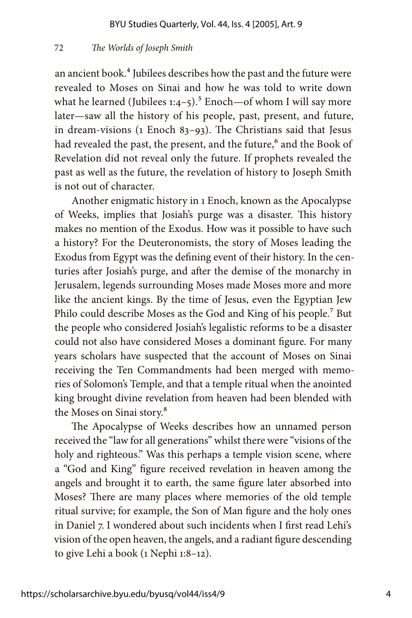an ancient book.<sup>4</sup> Jubilees describes how the past and the future were revealed to Moses on Sinai and how he was told to write down what he learned (Jubilees 1:4-5).<sup>5</sup> Enoch—of whom I will say more later—saw all the history of his people, past, present, and future, in dream-visions ( $1$  Enoch 83–93). The Christians said that Jesus had revealed the past, the present, and the future,<sup>6</sup> and the Book of Revelation did not reveal only the future. If prophets revealed the past as well as the future, the revelation of history to Joseph Smith is not out of character.

 Another enigmatic history in Enoch, known as the Apocalypse of Weeks, implies that Josiah's purge was a disaster. This history makes no mention of the Exodus. How was it possible to have such a history? For the Deuteronomists, the story of Moses leading the Exodus from Egypt was the defining event of their history. In the centuries after Josiah's purge, and after the demise of the monarchy in Jerusalem, legends surrounding Moses made Moses more and more like the ancient kings. By the time of Jesus, even the Egyptian Jew Philo could describe Moses as the God and King of his people.<sup>7</sup> But the people who considered Josiah's legalistic reforms to be a disaster could not also have considered Moses a dominant figure. For many years scholars have suspected that the account of Moses on Sinai receiving the Ten Commandments had been merged with memories of Solomon's Temple, and that a temple ritual when the anointed king brought divine revelation from heaven had been blended with the Moses on Sinai story.<sup>8</sup>

 The Apocalypse of Weeks describes how an unnamed person received the "law for all generations" whilst there were "visions of the holy and righteous." Was this perhaps a temple vision scene, where a "God and King" figure received revelation in heaven among the angels and brought it to earth, the same figure later absorbed into Moses? There are many places where memories of the old temple ritual survive; for example, the Son of Man figure and the holy ones in Daniel 7. I wondered about such incidents when I first read Lehi's vision of the open heaven, the angels, and a radiant figure descending to give Lehi a book (1 Nephi 1:8-12).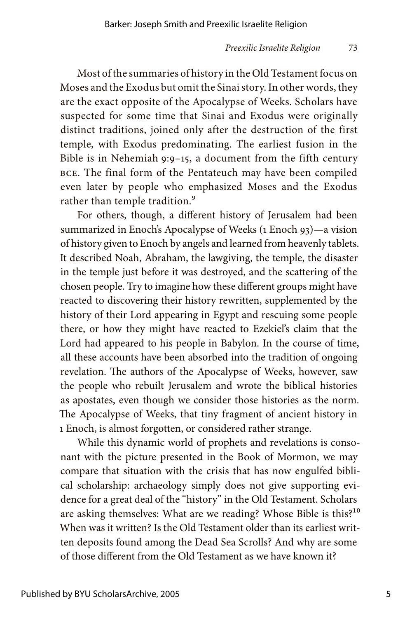Most of the summaries of history in the Old Testament focus on Moses and the Exodus but omit the Sinai story. In other words, they are the exact opposite of the Apocalypse of Weeks. Scholars have suspected for some time that Sinai and Exodus were originally distinct traditions, joined only after the destruction of the first temple, with Exodus predominating. The earliest fusion in the Bible is in Nehemiah 9:9–5, a document from the fifth century bce. The final form of the Pentateuch may have been compiled even later by people who emphasized Moses and the Exodus rather than temple tradition.<sup>9</sup>

 For others, though, a different history of Jerusalem had been summarized in Enoch's Apocalypse of Weeks (1 Enoch 93)—a vision of history given to Enoch by angels and learned from heavenly tablets. It described Noah, Abraham, the lawgiving, the temple, the disaster in the temple just before it was destroyed, and the scattering of the chosen people. Try to imagine how these different groups might have reacted to discovering their history rewritten, supplemented by the history of their Lord appearing in Egypt and rescuing some people there, or how they might have reacted to Ezekiel's claim that the Lord had appeared to his people in Babylon. In the course of time, all these accounts have been absorbed into the tradition of ongoing revelation. The authors of the Apocalypse of Weeks, however, saw the people who rebuilt Jerusalem and wrote the biblical histories as apostates, even though we consider those histories as the norm. The Apocalypse of Weeks, that tiny fragment of ancient history in Enoch, is almost forgotten, or considered rather strange.

 While this dynamic world of prophets and revelations is consonant with the picture presented in the Book of Mormon, we may compare that situation with the crisis that has now engulfed biblical scholarship: archaeology simply does not give supporting evidence for a great deal of the "history" in the Old Testament. Scholars are asking themselves: What are we reading? Whose Bible is this?<sup>10</sup> When was it written? Is the Old Testament older than its earliest written deposits found among the Dead Sea Scrolls? And why are some of those different from the Old Testament as we have known it?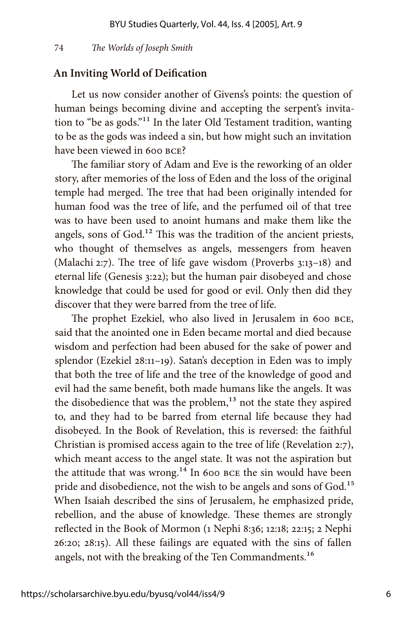### **An Inviting World of Deification**

 Let us now consider another of Givens's points: the question of human beings becoming divine and accepting the serpent's invitation to "be as gods."<sup>11</sup> In the later Old Testament tradition, wanting to be as the gods was indeed a sin, but how might such an invitation have been viewed in 600 BCE?

 The familiar story of Adam and Eve is the reworking of an older story, after memories of the loss of Eden and the loss of the original temple had merged. The tree that had been originally intended for human food was the tree of life, and the perfumed oil of that tree was to have been used to anoint humans and make them like the angels, sons of  $God.<sup>12</sup>$  This was the tradition of the ancient priests, who thought of themselves as angels, messengers from heaven (Malachi 2:7). The tree of life gave wisdom (Proverbs 3:13-18) and eternal life (Genesis 3:22); but the human pair disobeyed and chose knowledge that could be used for good or evil. Only then did they discover that they were barred from the tree of life.

 The prophet Ezekiel, who also lived in Jerusalem in 600 bce, said that the anointed one in Eden became mortal and died because wisdom and perfection had been abused for the sake of power and splendor (Ezekiel 28:11-19). Satan's deception in Eden was to imply that both the tree of life and the tree of the knowledge of good and evil had the same benefit, both made humans like the angels. It was the disobedience that was the problem,<sup>13</sup> not the state they aspired to, and they had to be barred from eternal life because they had disobeyed. In the Book of Revelation, this is reversed: the faithful Christian is promised access again to the tree of life (Revelation 2:7), which meant access to the angel state. It was not the aspiration but the attitude that was wrong. $^{14}$  In 600 BCE the sin would have been pride and disobedience, not the wish to be angels and sons of God.<sup>15</sup> When Isaiah described the sins of Jerusalem, he emphasized pride, rebellion, and the abuse of knowledge. These themes are strongly reflected in the Book of Mormon (1 Nephi 8:36; 12:18; 22:15; 2 Nephi 26:20; 28:5). All these failings are equated with the sins of fallen angels, not with the breaking of the Ten Commandments.<sup>16</sup>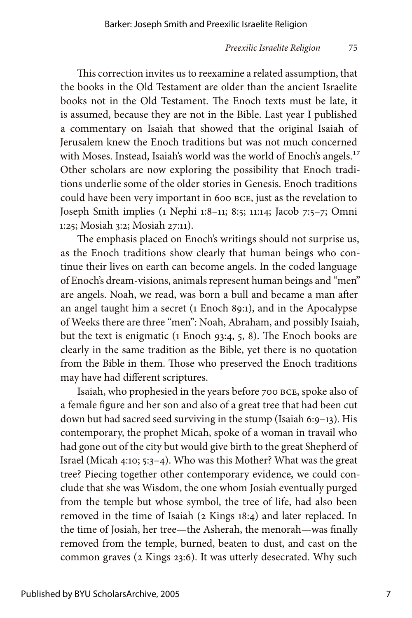This correction invites us to reexamine a related assumption, that the books in the Old Testament are older than the ancient Israelite books not in the Old Testament. The Enoch texts must be late, it is assumed, because they are not in the Bible. Last year I published a commentary on Isaiah that showed that the original Isaiah of Jerusalem knew the Enoch traditions but was not much concerned with Moses. Instead, Isaiah's world was the world of Enoch's angels.<sup>17</sup> Other scholars are now exploring the possibility that Enoch traditions underlie some of the older stories in Genesis. Enoch traditions could have been very important in 600 bce, just as the revelation to Joseph Smith implies (1 Nephi 1:8-11; 8:5; 11:14; Jacob 7:5-7; Omni 1:25; Mosiah 3:2; Mosiah 27:11).

 The emphasis placed on Enoch's writings should not surprise us, as the Enoch traditions show clearly that human beings who continue their lives on earth can become angels. In the coded language of Enoch's dream-visions, animals represent human beings and "men" are angels. Noah, we read, was born a bull and became a man after an angel taught him a secret (1 Enoch 89:1), and in the Apocalypse of Weeks there are three "men": Noah, Abraham, and possibly Isaiah, but the text is enigmatic  $(1$  Enoch 93:4, 5, 8). The Enoch books are clearly in the same tradition as the Bible, yet there is no quotation from the Bible in them. Those who preserved the Enoch traditions may have had different scriptures.

 Isaiah, who prophesied in the years before 700 bce, spoke also of a female figure and her son and also of a great tree that had been cut down but had sacred seed surviving in the stump (Isaiah 6:9-13). His contemporary, the prophet Micah, spoke of a woman in travail who had gone out of the city but would give birth to the great Shepherd of Israel (Micah 4:10;  $5:3-4$ ). Who was this Mother? What was the great tree? Piecing together other contemporary evidence, we could conclude that she was Wisdom, the one whom Josiah eventually purged from the temple but whose symbol, the tree of life, had also been removed in the time of Isaiah (2 Kings 18:4) and later replaced. In the time of Josiah, her tree—the Asherah, the menorah—was finally removed from the temple, burned, beaten to dust, and cast on the common graves (2 Kings 23:6). It was utterly desecrated. Why such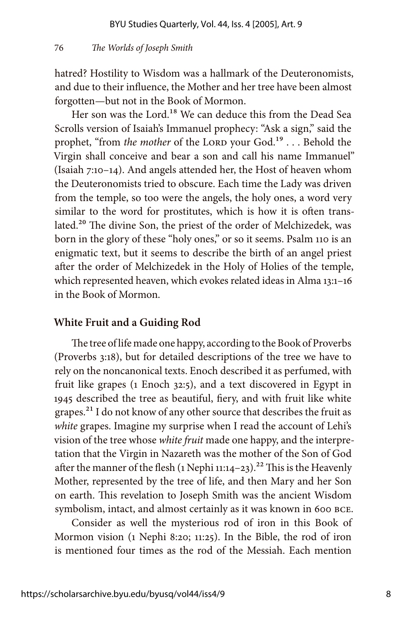hatred? Hostility to Wisdom was a hallmark of the Deuteronomists, and due to their influence, the Mother and her tree have been almost forgotten—but not in the Book of Mormon.

Her son was the Lord.<sup>18</sup> We can deduce this from the Dead Sea Scrolls version of Isaiah's Immanuel prophecy: "Ask a sign," said the prophet, "from *the mother* of the LORD your God.<sup>19</sup> . . . Behold the Virgin shall conceive and bear a son and call his name Immanuel" (Isaiah 7:0–4). And angels attended her, the Host of heaven whom the Deuteronomists tried to obscure. Each time the Lady was driven from the temple, so too were the angels, the holy ones, a word very similar to the word for prostitutes, which is how it is often translated.<sup>20</sup> The divine Son, the priest of the order of Melchizedek, was born in the glory of these "holy ones," or so it seems. Psalm 110 is an enigmatic text, but it seems to describe the birth of an angel priest after the order of Melchizedek in the Holy of Holies of the temple, which represented heaven, which evokes related ideas in Alma 13:1-16 in the Book of Mormon.

## **White Fruit and a Guiding Rod**

 The tree of life made one happy, according to the Book of Proverbs (Proverbs 3:8), but for detailed descriptions of the tree we have to rely on the noncanonical texts. Enoch described it as perfumed, with fruit like grapes  $(1$  Enoch  $32:5)$ , and a text discovered in Egypt in 945 described the tree as beautiful, fiery, and with fruit like white grapes.<sup>21</sup> I do not know of any other source that describes the fruit as *white* grapes. Imagine my surprise when I read the account of Lehi's vision of the tree whose *white fruit* made one happy, and the interpretation that the Virgin in Nazareth was the mother of the Son of God after the manner of the flesh ( $1$  Nephi  $11:14-23$ ).<sup>22</sup> This is the Heavenly Mother, represented by the tree of life, and then Mary and her Son on earth. This revelation to Joseph Smith was the ancient Wisdom symbolism, intact, and almost certainly as it was known in 600 bce.

 Consider as well the mysterious rod of iron in this Book of Mormon vision (1 Nephi 8:20; 11:25). In the Bible, the rod of iron is mentioned four times as the rod of the Messiah. Each mention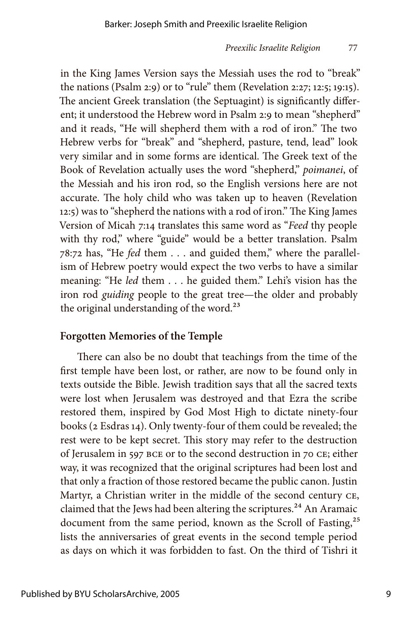in the King James Version says the Messiah uses the rod to "break" the nations (Psalm 2:9) or to "rule" them (Revelation 2:27; 12:5; 19:15). The ancient Greek translation (the Septuagint) is significantly different; it understood the Hebrew word in Psalm 2:9 to mean "shepherd" and it reads, "He will shepherd them with a rod of iron." The two Hebrew verbs for "break" and "shepherd, pasture, tend, lead" look very similar and in some forms are identical. The Greek text of the Book of Revelation actually uses the word "shepherd," *poimanei*, of the Messiah and his iron rod, so the English versions here are not accurate. The holy child who was taken up to heaven (Revelation 2:5) was to "shepherd the nations with a rod of iron." The King James Version of Micah 7:4 translates this same word as "*Feed* thy people with thy rod," where "guide" would be a better translation. Psalm 78:72 has, "He *fed* them . . . and guided them," where the parallelism of Hebrew poetry would expect the two verbs to have a similar meaning: "He *led* them . . . he guided them." Lehi's vision has the iron rod *guiding* people to the great tree—the older and probably the original understanding of the word.<sup>23</sup>

## **Forgotten Memories of the Temple**

 There can also be no doubt that teachings from the time of the first temple have been lost, or rather, are now to be found only in texts outside the Bible. Jewish tradition says that all the sacred texts were lost when Jerusalem was destroyed and that Ezra the scribe restored them, inspired by God Most High to dictate ninety-four books (2 Esdras 14). Only twenty-four of them could be revealed; the rest were to be kept secret. This story may refer to the destruction of Jerusalem in 597 bce or to the second destruction in 70 ce; either way, it was recognized that the original scriptures had been lost and that only a fraction of those restored became the public canon. Justin Martyr, a Christian writer in the middle of the second century ce, claimed that the Jews had been altering the scriptures.<sup>24</sup> An Aramaic document from the same period, known as the Scroll of Fasting,<sup>25</sup> lists the anniversaries of great events in the second temple period as days on which it was forbidden to fast. On the third of Tishri it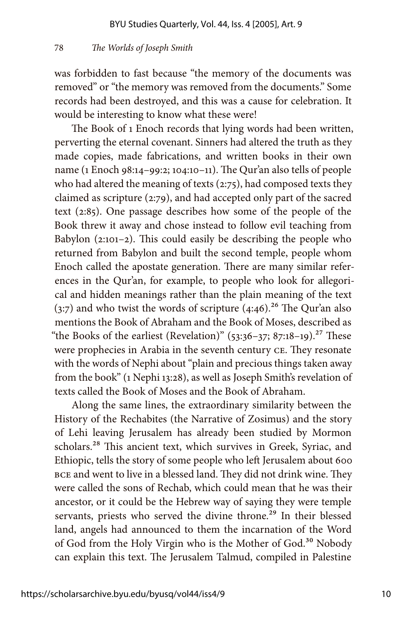was forbidden to fast because "the memory of the documents was removed" or "the memory was removed from the documents." Some records had been destroyed, and this was a cause for celebration. It would be interesting to know what these were!

The Book of 1 Enoch records that lying words had been written, perverting the eternal covenant. Sinners had altered the truth as they made copies, made fabrications, and written books in their own name (1 Enoch 98:14-99:2; 104:10-11). The Qur'an also tells of people who had altered the meaning of texts (2:75), had composed texts they claimed as scripture (2:79), and had accepted only part of the sacred text (2:85). One passage describes how some of the people of the Book threw it away and chose instead to follow evil teaching from Babylon  $(2:101-2)$ . This could easily be describing the people who returned from Babylon and built the second temple, people whom Enoch called the apostate generation. There are many similar references in the Qur'an, for example, to people who look for allegorical and hidden meanings rather than the plain meaning of the text  $(3:7)$  and who twist the words of scripture  $(4:46)$ <sup>26</sup> The Qur'an also mentions the Book of Abraham and the Book of Moses, described as "the Books of the earliest (Revelation)"  $(53.36-37; 87.18-19)$ .<sup>27</sup> These were prophecies in Arabia in the seventh century ce. They resonate with the words of Nephi about "plain and precious things taken away from the book" (1 Nephi 13:28), as well as Joseph Smith's revelation of texts called the Book of Moses and the Book of Abraham.

 Along the same lines, the extraordinary similarity between the History of the Rechabites (the Narrative of Zosimus) and the story of Lehi leaving Jerusalem has already been studied by Mormon scholars.<sup>28</sup> This ancient text, which survives in Greek, Syriac, and Ethiopic, tells the story of some people who left Jerusalem about 600 bce and went to live in a blessed land. They did not drink wine. They were called the sons of Rechab, which could mean that he was their ancestor, or it could be the Hebrew way of saying they were temple servants, priests who served the divine throne.<sup>29</sup> In their blessed land, angels had announced to them the incarnation of the Word of God from the Holy Virgin who is the Mother of God.<sup>30</sup> Nobody can explain this text. The Jerusalem Talmud, compiled in Palestine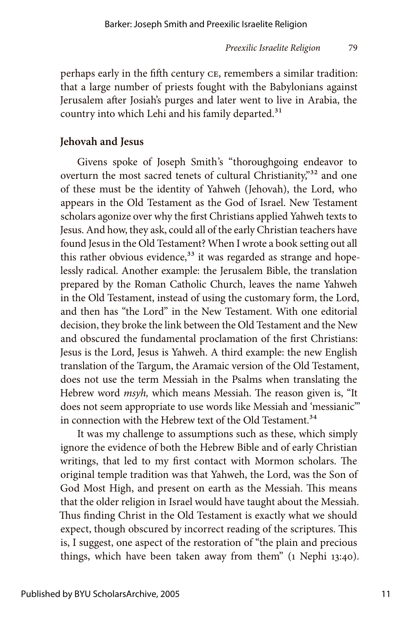perhaps early in the fifth century ce, remembers a similar tradition: that a large number of priests fought with the Babylonians against Jerusalem after Josiah's purges and later went to live in Arabia, the country into which Lehi and his family departed.<sup>31</sup>

### **Jehovah and Jesus**

 Givens spoke of Joseph Smith's "thoroughgoing endeavor to overturn the most sacred tenets of cultural Christianity,"<sup>32</sup> and one of these must be the identity of Yahweh (Jehovah), the Lord, who appears in the Old Testament as the God of Israel. New Testament scholars agonize over why the first Christians applied Yahweh texts to Jesus. And how, they ask, could all of the early Christian teachers have found Jesus in the Old Testament? When I wrote a book setting out all this rather obvious evidence, $33$  it was regarded as strange and hopelessly radical. Another example: the Jerusalem Bible, the translation prepared by the Roman Catholic Church, leaves the name Yahweh in the Old Testament, instead of using the customary form, the Lord, and then has "the Lord" in the New Testament. With one editorial decision, they broke the link between the Old Testament and the New and obscured the fundamental proclamation of the first Christians: Jesus is the Lord, Jesus is Yahweh. A third example: the new English translation of the Targum, the Aramaic version of the Old Testament, does not use the term Messiah in the Psalms when translating the Hebrew word *msyh,* which means Messiah. The reason given is, "It does not seem appropriate to use words like Messiah and 'messianic'" in connection with the Hebrew text of the Old Testament.<sup>34</sup>

 It was my challenge to assumptions such as these, which simply ignore the evidence of both the Hebrew Bible and of early Christian writings, that led to my first contact with Mormon scholars. The original temple tradition was that Yahweh, the Lord, was the Son of God Most High, and present on earth as the Messiah. This means that the older religion in Israel would have taught about the Messiah. Thus finding Christ in the Old Testament is exactly what we should expect, though obscured by incorrect reading of the scriptures. This is, I suggest, one aspect of the restoration of "the plain and precious things, which have been taken away from them"  $(1$  Nephi 13:40).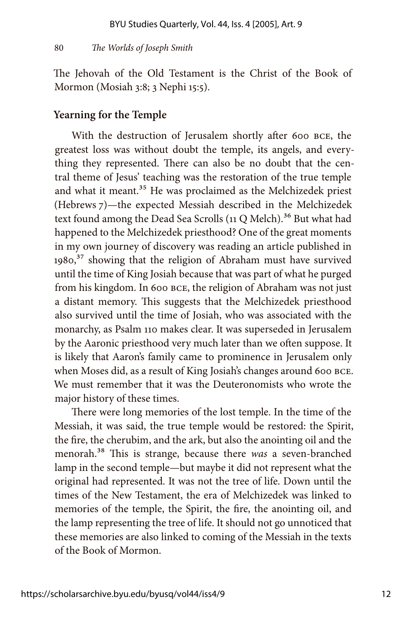The Jehovah of the Old Testament is the Christ of the Book of Mormon (Mosiah 3:8; 3 Nephi 15:5).

## **Yearning for the Temple**

With the destruction of Jerusalem shortly after 600 BCE, the greatest loss was without doubt the temple, its angels, and everything they represented. There can also be no doubt that the central theme of Jesus' teaching was the restoration of the true temple and what it meant.<sup>35</sup> He was proclaimed as the Melchizedek priest (Hebrews 7)—the expected Messiah described in the Melchizedek text found among the Dead Sea Scrolls (11 Q Melch).<sup>36</sup> But what had happened to the Melchizedek priesthood? One of the great moments in my own journey of discovery was reading an article published in 1980,<sup>37</sup> showing that the religion of Abraham must have survived until the time of King Josiah because that was part of what he purged from his kingdom. In 600 bce, the religion of Abraham was not just a distant memory. This suggests that the Melchizedek priesthood also survived until the time of Josiah, who was associated with the monarchy, as Psalm 110 makes clear. It was superseded in Jerusalem by the Aaronic priesthood very much later than we often suppose. It is likely that Aaron's family came to prominence in Jerusalem only when Moses did, as a result of King Josiah's changes around 600 bce. We must remember that it was the Deuteronomists who wrote the major history of these times.

 There were long memories of the lost temple. In the time of the Messiah, it was said, the true temple would be restored: the Spirit, the fire, the cherubim, and the ark, but also the anointing oil and the menorah.<sup>38</sup> This is strange, because there *was* a seven-branched lamp in the second temple—but maybe it did not represent what the original had represented. It was not the tree of life. Down until the times of the New Testament, the era of Melchizedek was linked to memories of the temple, the Spirit, the fire, the anointing oil, and the lamp representing the tree of life. It should not go unnoticed that these memories are also linked to coming of the Messiah in the texts of the Book of Mormon.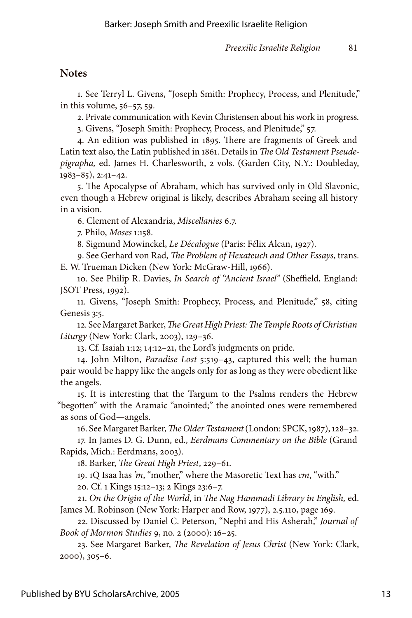#### **Notes**

 . See Terryl L. Givens, "Joseph Smith: Prophecy, Process, and Plenitude," in this volume, 56–57, 59.

2. Private communication with Kevin Christensen about his work in progress.

3. Givens, "Joseph Smith: Prophecy, Process, and Plenitude," 57.

 4. An edition was published in 895. There are fragments of Greek and Latin text also, the Latin published in 1861. Details in *The Old Testament Pseudepigrapha,* ed. James H. Charlesworth, 2 vols. (Garden City, N.Y.: Doubleday,  $1983-85$ ,  $2:41-42$ .

 5. The Apocalypse of Abraham, which has survived only in Old Slavonic, even though a Hebrew original is likely, describes Abraham seeing all history in a vision.

6. Clement of Alexandria, *Miscellanies* 6.7.

7. Philo, *Moses* 1:158.

8. Sigmund Mowinckel, *Le Décalogue* (Paris: Félix Alcan, 927).

 9. See Gerhard von Rad, *The Problem of Hexateuch and Other Essays*, trans. E. W. Trueman Dicken (New York: McGraw-Hill, 966).

 0. See Philip R. Davies, *In Search of "Ancient Israel"* (Sheffield, England: JSOT Press,  $1992$ ).

 . Givens, "Joseph Smith: Prophecy, Process, and Plenitude," 58, citing Genesis 3:5.

 2. See Margaret Barker, *The Great High Priest: The Temple Roots of Christian Liturgy* (New York: Clark, 2003), 29–36.

13. Cf. Isaiah 1:12; 14:12-21, the Lord's judgments on pride.

 4. John Milton, *Paradise Lost* 5:59–43, captured this well; the human pair would be happy like the angels only for as long as they were obedient like the angels.

 5. It is interesting that the Targum to the Psalms renders the Hebrew "begotten" with the Aramaic "anointed;" the anointed ones were remembered as sons of God—angels.

 6. See Margaret Barker, *The Older Testament* (London: SPCK, 987), 28–32. 7. In James D. G. Dunn, ed., *Eerdmans Commentary on the Bible* (Grand Rapids, Mich.: Eerdmans, 2003).

8. Barker, *The Great High Priest*, 229–6.

19. 1Q Isaa has 'm, "mother," where the Masoretic Text has *cm*, "with."

20. Cf. 1 Kings 15:12-13; 2 Kings 23:6-7.

 2. *On the Origin of the World*, in *The Nag Hammadi Library in English,* ed. James M. Robinson (New York: Harper and Row, 1977), 2.5.110, page 169.

 22. Discussed by Daniel C. Peterson, "Nephi and His Asherah," *Journal of Book of Mormon Studies* 9, no. 2 (2000): 16-25.

 23. See Margaret Barker, *The Revelation of Jesus Christ* (New York: Clark, 2000), 305–6.